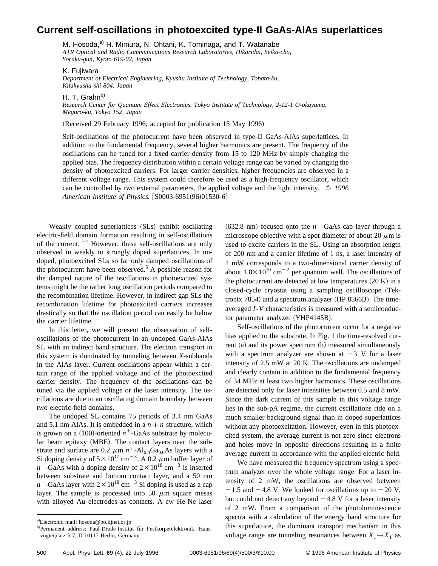## **Current self-oscillations in photoexcited type-II GaAs-AlAs superlattices**

M. Hosoda, $a^{(i)}$  H. Mimura, N. Ohtani, K. Tominaga, and T. Watanabe *ATR Optical and Radio Communications Research Laboratories, Hikaridai, Seika-cho, Soraku-gun, Kyoto 619-02, Japan*

K. Fujiwara

*Department of Electrical Engineering, Kyushu Institute of Technology, Tobata-ku, Kitakyushu-shi 804, Japan*

H. T. Grahn $^{b)}$ 

*Research Center for Quantum Effect Electronics, Tokyo Institute of Technology, 2-12-1 O-okayama, Meguro-ku, Tokyo 152, Japan*

(Received 29 February 1996; accepted for publication 15 May 1996)

Self-oscillations of the photocurrent have been observed in type-II GaAs-AlAs superlattices. In addition to the fundamental frequency, several higher harmonics are present. The frequency of the oscillations can be tuned for a fixed carrier density from 15 to 120 MHz by simply changing the applied bias. The frequency distribution within a certain voltage range can be varied by changing the density of photoexcited carriers. For larger carrier densities, higher frequencies are observed in a different voltage range. This system could therefore be used as a high-frequency oscillator, which can be controlled by two external parameters, the applied voltage and the light intensity. © *1996 American Institute of Physics.* [S0003-6951(96)01530-6]

Weakly coupled superlattices (SLs) exhibit oscillating electric-field domain formation resulting in self-oscillations of the current.<sup>1–4</sup> However, these self-oscillations are only observed in weakly to strongly doped superlattices. In undoped, photoexcited SLs so far only damped oscillations of the photocurrent have been observed. $\delta$  A possible reason for the damped nature of the oscillations in photoexcited systems might be the rather long oscillation periods compared to the recombination lifetime. However, in indirect gap SLs the recombination lifetime for photoexcited carriers increases drastically so that the oscillation period can easily be below the carrier lifetime.

In this letter, we will present the observation of selfoscillations of the photocurrent in an undoped GaAs-AlAs SL with an indirect band structure. The electron transport in this system is dominated by tunneling between *X*-subbands in the AlAs layer. Current oscillations appear within a certain range of the applied voltage and of the photoexcited carrier density. The frequency of the oscillations can be tuned via the applied voltage or the laser intensity. The oscillations are due to an oscillating domain boundary between two electric-field domains.

The undoped SL contains 75 periods of 3.4 nm GaAs and 5.1 nm AlAs. It is embedded in a *n*-*i*-*n* structure, which is grown on a  $(100)$ -oriented  $n^+$ -GaAs substrate by molecular beam epitaxy (MBE). The contact layers near the substrate and surface are 0.2  $\mu$ m  $n^+$ -Al<sub>0.4</sub>Ga<sub>0.6</sub>As layers with a Si doping density of  $5 \times 10^{17}$  cm<sup>-3</sup>. A 0.2  $\mu$ m buffer layer of  $n^+$ -GaAs with a doping density of  $2 \times 10^{18}$  cm<sup>-3</sup> is inserted between substrate and bottom contact layer, and a 50 nm  $n^+$ -GaAs layer with  $2 \times 10^{18}$  cm<sup>-3</sup> Si doping is used as a cap layer. The sample is processed into 50  $\mu$ m square mesas with alloyed Au electrodes as contacts. A cw He-Ne laser

 $(632.8 \text{ nm})$  focused onto the  $n^+$ -GaAs cap layer through a microscope objective with a spot diameter of about 20  $\mu$ m is used to excite carriers in the SL. Using an absorption length of 200 nm and a carrier lifetime of 1 ns, a laser intensity of 1 mW corresponds to a two-dimensional carrier density of about  $1.8 \times 10^{10}$  cm<sup>-2</sup> per quantum well. The oscillations of the photocurrent are detected at low temperatures  $(20 K)$  in a closed-cycle cryostat using a sampling oscilloscope (Tektronix 7854) and a spectrum analyzer  $(HP 8566B)$ . The timeaveraged *I*-*V* characteristics is measured with a semiconductor parameter analyzer (YHP4145B).

Self-oscillations of the photocurrent occur for a negative bias applied to the substrate. In Fig. 1 the time-resolved current  $(a)$  and its power spectrum  $(b)$  measured simultaneously with a spectrum analyzer are shown at  $-3$  V for a laser intensity of 2.5 mW at 20 K. The oscillations are undamped and clearly contain in addition to the fundamental frequency of 34 MHz at least two higher harmonics. These oscillations are detected only for laser intensities between 0.5 and 8 mW. Since the dark current of this sample in this voltage range lies in the sub-pA regime, the current oscillations ride on a much smaller background signal than in doped superlattices without any photoexcitation. However, even in this photoexcited system, the average current is not zero since electrons and holes move in opposite directions resulting in a finite average current in accordance with the applied electric field.

We have measured the frequency spectrum using a spectrum analyzer over the whole voltage range. For a laser intensity of 2 mW, the oscillations are observed between  $-1.5$  and  $-4.8$  V. We looked for oscillations up to  $-20$  V, but could not detect any beyond  $-4.8$  V for a laser intensity of 2 mW. From a comparison of the photoluminescence spectra with a calculation of the energy band structure for this superlattice, the dominant transport mechanism in this voltage range are tunneling resonances between  $X_1 \rightarrow X_1$  as

a)Electronic mail: hosoda@po.iijnet.or.jp

<sup>&</sup>lt;sup>b)</sup>Permanent address: Paul-Drude-Institut für Festkörperelektronik, Hausvogteiplatz 5-7, D-10117 Berlin, Germany.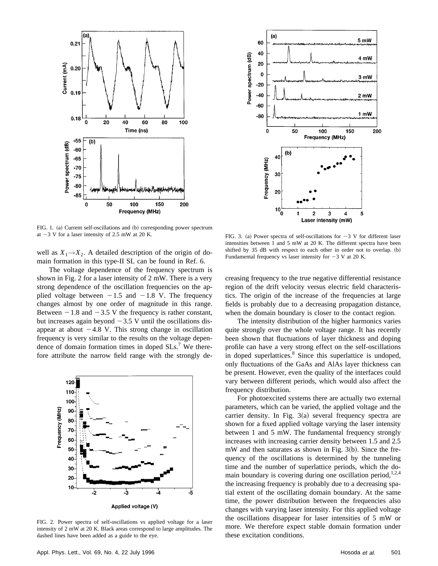



FIG. 1. (a) Current self-oscillations and (b) corresponding power spectrum at  $-3$  V for a laser intensity of 2.5 mW at 20 K.

well as  $X_1 \rightarrow X_2$ . A detailed description of the origin of domain formation in this type-II SL can be found in Ref. 6.

The voltage dependence of the frequency spectrum is shown in Fig. 2 for a laser intensity of 2 mW. There is a very strong dependence of the oscillation frequencies on the applied voltage between  $-1.5$  and  $-1.8$  V. The frequency changes almost by one order of magnitude in this range. Between  $-1.8$  and  $-3.5$  V the frequency is rather constant, but increases again beyond  $-3.5$  V until the oscillations disappear at about  $-4.8$  V. This strong change in oscillation frequency is very similar to the results on the voltage dependence of domain formation times in doped  $SLs<sup>7</sup>$  We therefore attribute the narrow field range with the strongly de-



FIG. 2. Power spectra of self-oscillations vs applied voltage for a laser intensity of 2 mW at 20 K. Black areas correspond to large amplitudes. The dashed lines have been added as a guide to the eye.

FIG. 3. (a) Power spectra of self-oscillations for  $-3$  V for different laser intensities between 1 and 5 mW at 20 K. The different spectra have been shifted by 35 dB with respect to each other in order not to overlap. (b) Fundamental frequency vs laser intensity for  $-3$  V at 20 K.

creasing frequency to the true negative differential resistance region of the drift velocity versus electric field characteristics. The origin of the increase of the frequencies at large fields is probably due to a decreasing propagation distance, when the domain boundary is closer to the contact region.

The intensity distribution of the higher harmonics varies quite strongly over the whole voltage range. It has recently been shown that fluctuations of layer thickness and doping profile can have a very strong effect on the self-oscillations in doped superlattices.<sup>8</sup> Since this superlattice is undoped, only fluctuations of the GaAs and AlAs layer thickness can be present. However, even the quality of the interfaces could vary between different periods, which would also affect the frequency distribution.

For photoexcited systems there are actually two external parameters, which can be varied, the applied voltage and the carrier density. In Fig.  $3(a)$  several frequency spectra are shown for a fixed applied voltage varying the laser intensity between 1 and 5 mW. The fundamental frequency strongly increases with increasing carrier density between 1.5 and 2.5  $mW$  and then saturates as shown in Fig. 3 $(b)$ . Since the frequency of the oscillations is determined by the tunneling time and the number of superlattice periods, which the domain boundary is covering during one oscillation period,  $1,2,4$ the increasing frequency is probably due to a decreasing spatial extent of the oscillating domain boundary. At the same time, the power distribution between the frequencies also changes with varying laser intensity. For this applied voltage the oscillations disappear for laser intensities of 5 mW or more. We therefore expect stable domain formation under these excitation conditions.